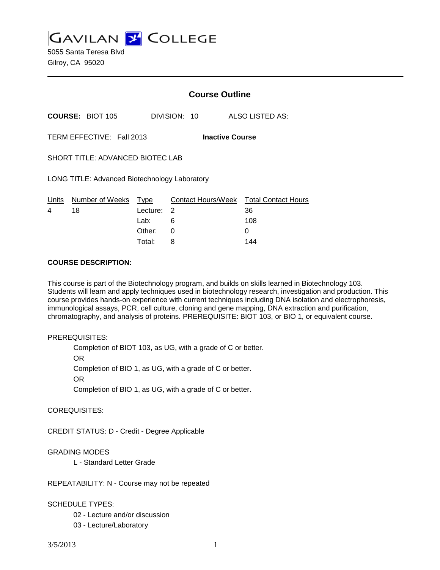**GAVILAN J' COLLEGE** 

5055 Santa Teresa Blvd Gilroy, CA 95020

|                                                     |                         | <b>Course Outline</b> |              |                                              |  |
|-----------------------------------------------------|-------------------------|-----------------------|--------------|----------------------------------------------|--|
|                                                     | <b>COURSE: BIOT 105</b> |                       | DIVISION: 10 | ALSO LISTED AS:                              |  |
| TERM EFFECTIVE: Fall 2013<br><b>Inactive Course</b> |                         |                       |              |                                              |  |
| SHORT TITLE: ADVANCED BIOTEC LAB                    |                         |                       |              |                                              |  |
| LONG TITLE: Advanced Biotechnology Laboratory       |                         |                       |              |                                              |  |
| Units<br>4                                          | Number of Weeks<br>18   | Type<br>Lecture:      | 2            | Contact Hours/Week Total Contact Hours<br>36 |  |
|                                                     |                         | Lab:                  | 6            | 108                                          |  |
|                                                     |                         | Other:                | 0            | 0                                            |  |

#### **COURSE DESCRIPTION:**

This course is part of the Biotechnology program, and builds on skills learned in Biotechnology 103. Students will learn and apply techniques used in biotechnology research, investigation and production. This course provides hands-on experience with current techniques including DNA isolation and electrophoresis, immunological assays, PCR, cell culture, cloning and gene mapping, DNA extraction and purification, chromatography, and analysis of proteins. PREREQUISITE: BIOT 103, or BIO 1, or equivalent course.

Total: 8 144

#### PREREQUISITES:

Completion of BIOT 103, as UG, with a grade of C or better. OR Completion of BIO 1, as UG, with a grade of C or better. OR

Completion of BIO 1, as UG, with a grade of C or better.

COREQUISITES:

CREDIT STATUS: D - Credit - Degree Applicable

GRADING MODES

L - Standard Letter Grade

REPEATABILITY: N - Course may not be repeated

## SCHEDULE TYPES:

02 - Lecture and/or discussion

03 - Lecture/Laboratory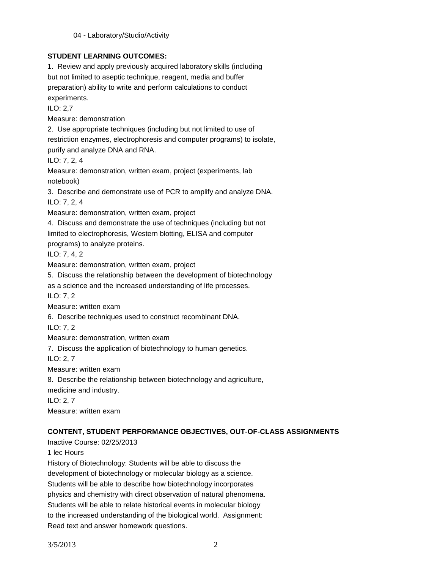# **STUDENT LEARNING OUTCOMES:**

1. Review and apply previously acquired laboratory skills (including but not limited to aseptic technique, reagent, media and buffer preparation) ability to write and perform calculations to conduct experiments. ILO: 2,7

Measure: demonstration

2. Use appropriate techniques (including but not limited to use of

restriction enzymes, electrophoresis and computer programs) to isolate,

purify and analyze DNA and RNA.

ILO: 7, 2, 4

Measure: demonstration, written exam, project (experiments, lab notebook)

3. Describe and demonstrate use of PCR to amplify and analyze DNA. ILO: 7, 2, 4

Measure: demonstration, written exam, project

4. Discuss and demonstrate the use of techniques (including but not limited to electrophoresis, Western blotting, ELISA and computer

programs) to analyze proteins.

ILO: 7, 4, 2

Measure: demonstration, written exam, project

5. Discuss the relationship between the development of biotechnology

as a science and the increased understanding of life processes.

ILO: 7, 2

Measure: written exam

6. Describe techniques used to construct recombinant DNA.

ILO: 7, 2

Measure: demonstration, written exam

7. Discuss the application of biotechnology to human genetics.

ILO: 2, 7

Measure: written exam

8. Describe the relationship between biotechnology and agriculture,

medicine and industry.

ILO: 2, 7

Measure: written exam

# **CONTENT, STUDENT PERFORMANCE OBJECTIVES, OUT-OF-CLASS ASSIGNMENTS**

Inactive Course: 02/25/2013

1 lec Hours

History of Biotechnology: Students will be able to discuss the development of biotechnology or molecular biology as a science. Students will be able to describe how biotechnology incorporates physics and chemistry with direct observation of natural phenomena. Students will be able to relate historical events in molecular biology to the increased understanding of the biological world. Assignment: Read text and answer homework questions.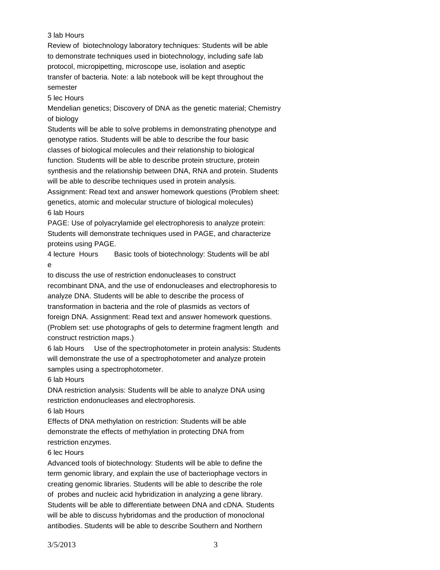### 3 lab Hours

Review of biotechnology laboratory techniques: Students will be able to demonstrate techniques used in biotechnology, including safe lab protocol, micropipetting, microscope use, isolation and aseptic transfer of bacteria. Note: a lab notebook will be kept throughout the semester

5 lec Hours

Mendelian genetics; Discovery of DNA as the genetic material; Chemistry of biology

Students will be able to solve problems in demonstrating phenotype and genotype ratios. Students will be able to describe the four basic classes of biological molecules and their relationship to biological function. Students will be able to describe protein structure, protein synthesis and the relationship between DNA, RNA and protein. Students will be able to describe techniques used in protein analysis. Assignment: Read text and answer homework questions (Problem sheet:

genetics, atomic and molecular structure of biological molecules) 6 lab Hours

PAGE: Use of polyacrylamide gel electrophoresis to analyze protein: Students will demonstrate techniques used in PAGE, and characterize proteins using PAGE.

4 lecture Hours Basic tools of biotechnology: Students will be abl e

to discuss the use of restriction endonucleases to construct recombinant DNA, and the use of endonucleases and electrophoresis to analyze DNA. Students will be able to describe the process of transformation in bacteria and the role of plasmids as vectors of foreign DNA. Assignment: Read text and answer homework questions. (Problem set: use photographs of gels to determine fragment length and construct restriction maps.)

6 lab Hours Use of the spectrophotometer in protein analysis: Students will demonstrate the use of a spectrophotometer and analyze protein samples using a spectrophotometer.

6 lab Hours

DNA restriction analysis: Students will be able to analyze DNA using restriction endonucleases and electrophoresis.

6 lab Hours

Effects of DNA methylation on restriction: Students will be able demonstrate the effects of methylation in protecting DNA from restriction enzymes.

### 6 lec Hours

Advanced tools of biotechnology: Students will be able to define the term genomic library, and explain the use of bacteriophage vectors in creating genomic libraries. Students will be able to describe the role of probes and nucleic acid hybridization in analyzing a gene library. Students will be able to differentiate between DNA and cDNA. Students will be able to discuss hybridomas and the production of monoclonal antibodies. Students will be able to describe Southern and Northern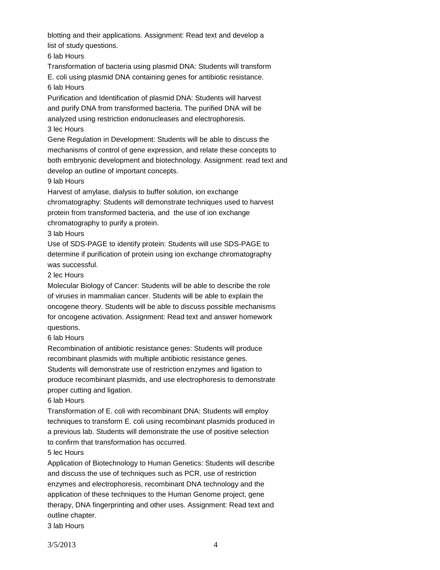blotting and their applications. Assignment: Read text and develop a list of study questions.

6 lab Hours

Transformation of bacteria using plasmid DNA: Students will transform

E. coli using plasmid DNA containing genes for antibiotic resistance.

6 lab Hours

Purification and Identification of plasmid DNA: Students will harvest and purify DNA from transformed bacteria. The purified DNA will be analyzed using restriction endonucleases and electrophoresis. 3 lec Hours

Gene Regulation in Development: Students will be able to discuss the mechanisms of control of gene expression, and relate these concepts to both embryonic development and biotechnology. Assignment: read text and develop an outline of important concepts.

## 9 lab Hours

Harvest of amylase, dialysis to buffer solution, ion exchange chromatography: Students will demonstrate techniques used to harvest protein from transformed bacteria, and the use of ion exchange chromatography to purify a protein.

## 3 lab Hours

Use of SDS-PAGE to identify protein: Students will use SDS-PAGE to determine if purification of protein using ion exchange chromatography was successful.

## 2 lec Hours

Molecular Biology of Cancer: Students will be able to describe the role of viruses in mammalian cancer. Students will be able to explain the oncogene theory. Students will be able to discuss possible mechanisms for oncogene activation. Assignment: Read text and answer homework questions.

## 6 lab Hours

Recombination of antibiotic resistance genes: Students will produce recombinant plasmids with multiple antibiotic resistance genes. Students will demonstrate use of restriction enzymes and ligation to produce recombinant plasmids, and use electrophoresis to demonstrate proper cutting and ligation.

## 6 lab Hours

Transformation of E. coli with recombinant DNA: Students will employ techniques to transform E. coli using recombinant plasmids produced in a previous lab. Students will demonstrate the use of positive selection to confirm that transformation has occurred.

# 5 lec Hours

Application of Biotechnology to Human Genetics: Students will describe and discuss the use of techniques such as PCR, use of restriction enzymes and electrophoresis, recombinant DNA technology and the application of these techniques to the Human Genome project, gene therapy, DNA fingerprinting and other uses. Assignment: Read text and outline chapter.

3 lab Hours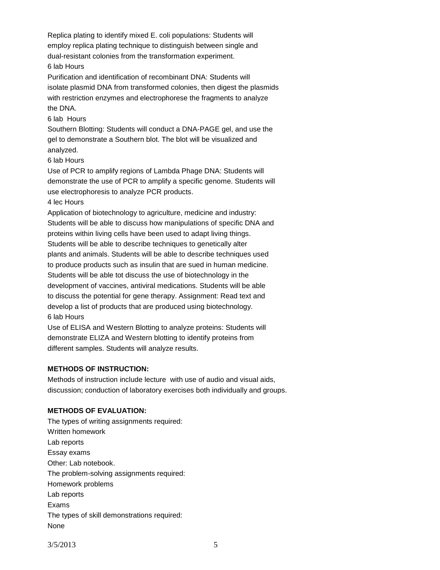Replica plating to identify mixed E. coli populations: Students will employ replica plating technique to distinguish between single and dual-resistant colonies from the transformation experiment. 6 lab Hours

Purification and identification of recombinant DNA: Students will isolate plasmid DNA from transformed colonies, then digest the plasmids with restriction enzymes and electrophorese the fragments to analyze the DNA.

#### 6 lab Hours

Southern Blotting: Students will conduct a DNA-PAGE gel, and use the gel to demonstrate a Southern blot. The blot will be visualized and analyzed.

#### 6 lab Hours

Use of PCR to amplify regions of Lambda Phage DNA: Students will demonstrate the use of PCR to amplify a specific genome. Students will use electrophoresis to analyze PCR products.

#### 4 lec Hours

Application of biotechnology to agriculture, medicine and industry: Students will be able to discuss how manipulations of specific DNA and proteins within living cells have been used to adapt living things. Students will be able to describe techniques to genetically alter plants and animals. Students will be able to describe techniques used to produce products such as insulin that are sued in human medicine. Students will be able tot discuss the use of biotechnology in the development of vaccines, antiviral medications. Students will be able to discuss the potential for gene therapy. Assignment: Read text and develop a list of products that are produced using biotechnology. 6 lab Hours

Use of ELISA and Western Blotting to analyze proteins: Students will demonstrate ELIZA and Western blotting to identify proteins from different samples. Students will analyze results.

#### **METHODS OF INSTRUCTION:**

Methods of instruction include lecture with use of audio and visual aids, discussion; conduction of laboratory exercises both individually and groups.

#### **METHODS OF EVALUATION:**

The types of writing assignments required: Written homework Lab reports Essay exams Other: Lab notebook. The problem-solving assignments required: Homework problems Lab reports Exams The types of skill demonstrations required: None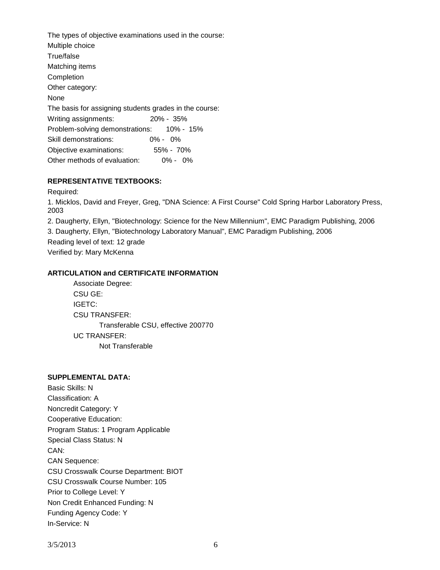The types of objective examinations used in the course: Multiple choice True/false Matching items Completion Other category: None The basis for assigning students grades in the course: Writing assignments: 20% - 35% Problem-solving demonstrations: 10% - 15% Skill demonstrations: 0% - 0% Objective examinations: 55% - 70% Other methods of evaluation: 0% - 0%

## **REPRESENTATIVE TEXTBOOKS:**

Required:

1. Micklos, David and Freyer, Greg, "DNA Science: A First Course" Cold Spring Harbor Laboratory Press, 2003

2. Daugherty, Ellyn, "Biotechnology: Science for the New Millennium", EMC Paradigm Publishing, 2006

3. Daugherty, Ellyn, "Biotechnology Laboratory Manual", EMC Paradigm Publishing, 2006

Reading level of text: 12 grade

Verified by: Mary McKenna

## **ARTICULATION and CERTIFICATE INFORMATION**

Associate Degree: CSU GE: IGETC: CSU TRANSFER: Transferable CSU, effective 200770 UC TRANSFER: Not Transferable

# **SUPPLEMENTAL DATA:**

Basic Skills: N Classification: A Noncredit Category: Y Cooperative Education: Program Status: 1 Program Applicable Special Class Status: N CAN: CAN Sequence: CSU Crosswalk Course Department: BIOT CSU Crosswalk Course Number: 105 Prior to College Level: Y Non Credit Enhanced Funding: N Funding Agency Code: Y In-Service: N